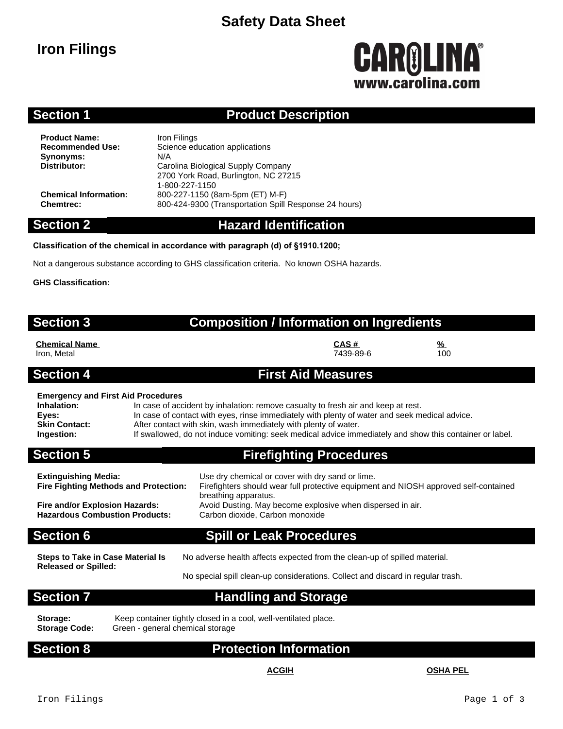## **Safety Data Sheet**

# **Iron Filings**

# **CAROLINA®** www.carolina.co

### **Section 1 Product Description**

**Product Name:** Iron Filings<br> **Recommended Use:** Science ed **Synonyms:** N/A<br>**Distributor:** Car

**Science education applications Distributor:** Carolina Biological Supply Company 2700 York Road, Burlington, NC 27215 1-800-227-1150 **Chemical Information:** 800-227-1150 (8am-5pm (ET) M-F) **Chemtrec:** 800-424-9300 (Transportation Spill Response 24 hours)

#### **Section 2 Hazard Identification**

#### **Classification of the chemical in accordance with paragraph (d) of §1910.1200;**

Not a dangerous substance according to GHS classification criteria. No known OSHA hazards.

**GHS Classification:**

| <b>Composition / Information on Ingredients</b> |  |
|-------------------------------------------------|--|
|                                                 |  |

**Chemical Name CAS # %** Iron, Metal 7439-89-6 100

#### **Section 4 First Aid Measures**

**Section 3** 

#### **Emergency and First Aid Procedures**

| Elliergency and First Ald Frocedures |                                                                                                         |
|--------------------------------------|---------------------------------------------------------------------------------------------------------|
| Inhalation:                          | In case of accident by inhalation: remove casualty to fresh air and keep at rest.                       |
| Eves:                                | In case of contact with eyes, rinse immediately with plenty of water and seek medical advice.           |
| <b>Skin Contact:</b>                 | After contact with skin, wash immediately with plenty of water.                                         |
| Ingestion:                           | If swallowed, do not induce vomiting: seek medical advice immediately and show this container or label. |
|                                      |                                                                                                         |

### **Section 5 Firefighting Procedures**

| <b>Extinguishing Media:</b><br><b>Fire Fighting Methods and Protection:</b> | Use dry chemical or cover with dry sand or lime.<br>Firefighters should wear full protective equipment and NIOSH approved self-contained<br>breathing apparatus. |
|-----------------------------------------------------------------------------|------------------------------------------------------------------------------------------------------------------------------------------------------------------|
| Fire and/or Explosion Hazards:                                              | Avoid Dusting. May become explosive when dispersed in air.                                                                                                       |
| <b>Hazardous Combustion Products:</b>                                       | Carbon dioxide, Carbon monoxide                                                                                                                                  |

#### **Section 6 Spill or Leak Procedures**

No adverse health affects expected from the clean-up of spilled material.

**Steps to Take in Case Material Is Released or Spilled:**

No special spill clean-up considerations. Collect and discard in regular trash.

### **Section 7 Handling and Storage**

**Storage Code:** Green - general chemical storage

Storage: Keep container tightly closed in a cool, well-ventilated place.<br>Storage Code: Green - general chemical storage

### **Section 8 Protection Information**

#### **ACGIH OSHA PEL**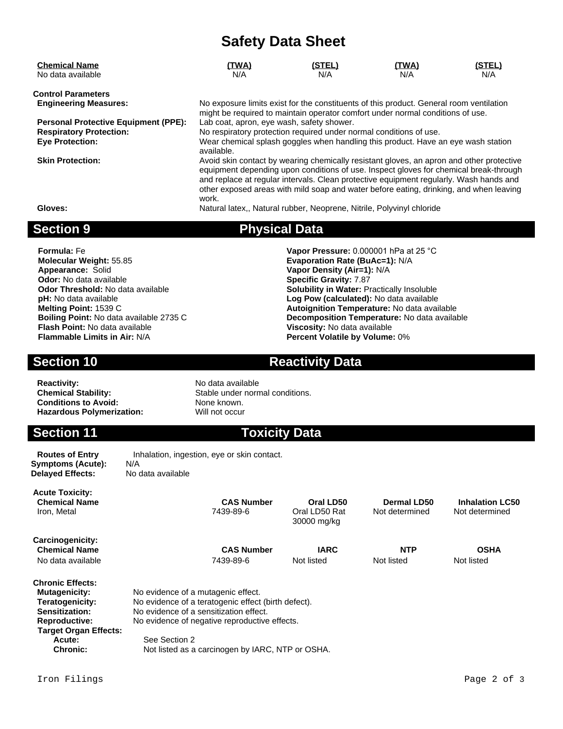# **Safety Data Sheet**

| <b>Chemical Name</b>                        | (TWA)                                                                                                                                                                                                                                                                                                                                                                 | <u>(STEL)</u> | (TWA) | <u>(STEL)</u> |  |  |
|---------------------------------------------|-----------------------------------------------------------------------------------------------------------------------------------------------------------------------------------------------------------------------------------------------------------------------------------------------------------------------------------------------------------------------|---------------|-------|---------------|--|--|
| No data available                           | N/A                                                                                                                                                                                                                                                                                                                                                                   | N/A           | N/A   | N/A           |  |  |
| <b>Control Parameters</b>                   |                                                                                                                                                                                                                                                                                                                                                                       |               |       |               |  |  |
| <b>Engineering Measures:</b>                | No exposure limits exist for the constituents of this product. General room ventilation<br>might be required to maintain operator comfort under normal conditions of use.                                                                                                                                                                                             |               |       |               |  |  |
| <b>Personal Protective Equipment (PPE):</b> | Lab coat, apron, eye wash, safety shower.                                                                                                                                                                                                                                                                                                                             |               |       |               |  |  |
| <b>Respiratory Protection:</b>              | No respiratory protection required under normal conditions of use.                                                                                                                                                                                                                                                                                                    |               |       |               |  |  |
| <b>Eye Protection:</b>                      | Wear chemical splash goggles when handling this product. Have an eye wash station<br>available.                                                                                                                                                                                                                                                                       |               |       |               |  |  |
| <b>Skin Protection:</b>                     | Avoid skin contact by wearing chemically resistant gloves, an apron and other protective<br>equipment depending upon conditions of use. Inspect gloves for chemical break-through<br>and replace at regular intervals. Clean protective equipment regularly. Wash hands and<br>other exposed areas with mild soap and water before eating, drinking, and when leaving |               |       |               |  |  |

**Gloves:** Natural latex,, Natural rubber, Neoprene, Nitrile, Polyvinyl chloride

#### **Section 9 Physical Data**

**Appearance:** Solid **Vapor Density (Air=1):** N/A<br> **Odor:** No data available **Value Contract Contract Contract Contract Contract Contract Contract Contract Contract Contract Contract Contract Contract Contract Contract Cont Odor:** No data available<br>**Odor Threshold:** No data available **Flash Point:** No data available **Viscosity:** No data available

**Formula:** Fe **Vapor Pressure:** 0.000001 hPa at 25 °C **Evaporation Rate (BuAc=1): N/A Solubility in Water: Practically Insoluble pH:** No data available **Log Pow (calculated):** No data available **Melting Point:** 1539 C **Autoignition Temperature:** No data available **Boiling Point:** No data available 2735 C **Decomposition Temperature:** No data available<br> **Flash Point:** No data available **Composition Intervalse Composition Composition Intervalse Point: No data available Percent Volatile by Volume: 0%** 

Not determined

#### **Section 10 Reactivity Data**

**Reactivity:** No data available<br> **Chemical Stability:** No data available<br>
Stable under norr **Conditions to Avoid:** None known.<br> **Hazardous Polymerization:** Will not occur **Hazardous Polymerization:** 

Stable under normal conditions.

**Section 11 Toxicity Data** 

Oral LD50 Rat 30000 mg/kg

**Symptoms (Acute):** N/A **Delayed Effects:** No data available

**Routes of Entry** Inhalation, ingestion, eye or skin contact.

work.

**Acute Toxicity: Chemical Name CAS Number CAS Number CAS Number CAS Dermal LD50 Inhalation LC50**<br> **CAS Number Cral LD50 Rat** Mot determined Not determined

**Carcinogenicity: Chemical Name CAS Number IARC NTP OSHA**

No data available  $7439-89-6$  Not listed Not listed Not listed Not listed Not listed

**Chronic Effects:**

**Mutagenicity:** No evidence of a mutagenic effect.<br> **Teratogenicity:** No evidence of a teratogenic effect

No evidence of a teratogenic effect (birth defect). **Sensitization:** No evidence of a sensitization effect.

**Reproductive:** No evidence of negative reproductive effects.  **Target Organ Effects:**

**Acute:** See Section 2<br> **Chronic:** Not listed as a Not listed as a carcinogen by IARC, NTP or OSHA.